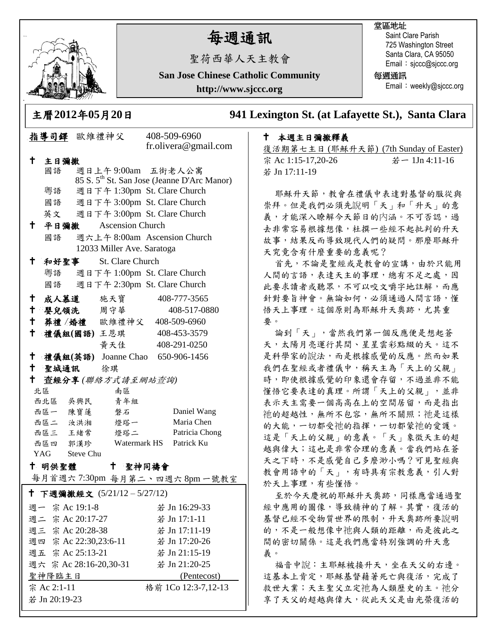

若 Jn 20:19-23

# 每週通訊

聖荷西華人天主教會

**San Jose Chinese Catholic Community**

**http://www.sjccc.org**

### 堂區地址

Saint Clare Parish 725 Washington Street Santa Clara, CA 95050 Email: sjccc@sjccc.org

每週通訊

Email: weekly@sjccc.org

**241 Lexington St. (at Lafayette St.), Santa Clara** 

## 本週主日彌撒釋義

復活期第七主日 (耶穌升天節) (7th Sunday of Easter) 宗 Ac 1:15-17,20-26 若一 1Jn 4:11-16 若 Jn 17:11-19

耶穌升天節,教會在禮儀中表達對基督的服從與 崇拜。但是我們必須先說明「天」和「升天」的意 義,才能深入瞭解今天節日的內涵。不可否認,過 去非常容易根據想像,杜撰一些經不起批判的升天 故事,結果反而導致現代人們的疑問。那麼耶穌升 天究竟含有什麼重要的意義呢?

首先,不論是聖經或是教會的宣講,由於只能用 人間的言語,表達天主的事理,總有不足之處,因 此要求讀者或聽眾,不可以咬文嚼字地註解,而應 針對要旨神會。無論如何,必須通過人間言語,懂 悟天上事理。這個原則為耶穌升天奧跡,尤其重 要。

論到「天」,當然我們第一個反應便是想起蒼 天,太陽月亮運行其間、星星雲彩點綴的天。這不 是科學家的說法,而是根據感覺的反應。然而如果 我們在聖經或者禮儀中,稱天主為「天上的父親」 時,即使根據感覺的印象還會存留,不過並非不能 懂悟它要表達的真理。所謂「天上的父親」,並非 表示天主需要一個高高在上的空間居留,而是指出 祂的超越性,無所不包容,無所不關照;祂是這樣 的大能,一切都受祂的指揮,一切都蒙祂的愛護。 這是「天上的父親」的意義。「天」象徵天主的超 越與偉大;這也是非常合理的意義。當我們站在蒼 天之下時,不是感覺自己多麼渺小嗎?可見聖經與 教會用語中的「天」,有時具有宗教意義,引人對 於天上事理,有些懂悟。

至於今天慶祝的耶穌升天奧跡,同樣應當通過聖 經中應用的圖像,導致精神的了解。其實,復活的 基督已經不受物質世界的限制,升天奧跡所要說明 的,不是一般想像中祂與人類的距離,而是彼此之 間的密切關係。這是我們應當特別強調的升天意 義。

福音中說:主耶穌被接升天,坐在天父的右邊。 這基本上肯定,耶穌基督藉著死亡與復活,完成了 救世大業;天主聖父立定祂為人類歷史的主。祂分 享了天父的超越與偉大,從此天父是由光榮復活的

|                                                                                                                        |                            |  | 土偕∠リエ∠干リ⊃ゟ∠リᄇ                    |                              |                                                         | ን' |  |
|------------------------------------------------------------------------------------------------------------------------|----------------------------|--|----------------------------------|------------------------------|---------------------------------------------------------|----|--|
| 指導司鐸 歐維禮神父                                                                                                             |                            |  |                                  | 408-509-6960                 |                                                         |    |  |
|                                                                                                                        |                            |  |                                  |                              | fr.olivera@gmail.com                                    |    |  |
| t.                                                                                                                     | 主日彌撒                       |  |                                  |                              |                                                         |    |  |
|                                                                                                                        | 國語                         |  | 週日上午9:00am 五街老人公寓                |                              |                                                         |    |  |
|                                                                                                                        |                            |  |                                  |                              | 85 S. 5 <sup>th</sup> St. San Jose (Jeanne D'Arc Manor) |    |  |
|                                                                                                                        | 粵語                         |  | 週日下午 1:30pm St. Clare Church     |                              |                                                         |    |  |
|                                                                                                                        | 國語                         |  | 週日下午 3:00pm St. Clare Church     |                              |                                                         |    |  |
|                                                                                                                        | 英文                         |  | 週日下午 3:00pm St. Clare Church     |                              |                                                         |    |  |
| ↑                                                                                                                      |                            |  | 平日彌撒 Ascension Church            |                              |                                                         |    |  |
|                                                                                                                        | 國語                         |  |                                  | 週六上午 8:00am Ascension Church |                                                         |    |  |
|                                                                                                                        | 12033 Miller Ave. Saratoga |  |                                  |                              |                                                         |    |  |
| † ∶                                                                                                                    | 和好聖事<br>St. Clare Church   |  |                                  |                              |                                                         |    |  |
|                                                                                                                        | 粵語                         |  | 週日下午 1:00pm St. Clare Church     |                              |                                                         |    |  |
|                                                                                                                        |                            |  | 國語 週日下午 2:30pm St. Clare Church  |                              |                                                         |    |  |
| †∴                                                                                                                     |                            |  | 成人慕道 施天寶                         |                              | 408-777-3565                                            |    |  |
| $\mathbf +$                                                                                                            |                            |  | 嬰兒領洗 周守華                         |                              | 408-517-0880                                            |    |  |
| $\mathsf{t}$ .                                                                                                         |                            |  | 葬禮 / 婚禮 歐維禮神父 408-509-6960       |                              |                                                         |    |  |
| † ∶                                                                                                                    |                            |  | 禮儀組(國語)王恩琪                       |                              | 408-453-3579                                            |    |  |
|                                                                                                                        |                            |  | 黄天佳                              |                              | 408-291-0250                                            |    |  |
| $\mathsf{+}$                                                                                                           |                            |  | 禮儀組(英語) Joanne Chao 650-906-1456 |                              |                                                         |    |  |
| $\mathbf +$                                                                                                            | 聖城通訊 徐琪                    |  |                                  |                              |                                                         |    |  |
| Ⴕ.<br>查經分享(聯絡方式請至網站查詢)                                                                                                 |                            |  |                                  |                              |                                                         |    |  |
|                                                                                                                        | 北區                         |  | 南區                               |                              |                                                         |    |  |
|                                                                                                                        | 西北區 吳興民                    |  | 青年組                              |                              |                                                         |    |  |
|                                                                                                                        | 西區一 陳寶蓮                    |  | 磐石                               |                              | Daniel Wang                                             |    |  |
|                                                                                                                        | 西區二 汝洪湘                    |  | 燈塔一                              |                              | Maria Chen                                              |    |  |
|                                                                                                                        | 西區三 王緒常                    |  | 燈塔二<br>Watermark HS              |                              | Patricia Chong                                          |    |  |
|                                                                                                                        | 西區四 郭漢珍<br>YAG Steve Chu   |  |                                  |                              | Patrick Ku                                              |    |  |
| † 明供聖體<br>聖神同禱會<br>$^{\dagger}$                                                                                        |                            |  |                                  |                              |                                                         |    |  |
| 每月首週六7:30pm 每月第二、四週六8pm一號教室                                                                                            |                            |  |                                  |                              |                                                         |    |  |
|                                                                                                                        |                            |  |                                  |                              |                                                         |    |  |
|                                                                                                                        |                            |  | † 下週彌撒經文 (5/21/12-5/27/12)       |                              |                                                         |    |  |
|                                                                                                                        | 週一 宗 Ac 19:1-8             |  |                                  |                              | 若 Jn 16:29-33                                           |    |  |
| 週二 宗 Ac 20:17-27                                                                                                       |                            |  |                                  |                              | 若 Jn 17:1-11                                            |    |  |
| 週三 宗 Ac 20:28-38                                                                                                       |                            |  |                                  |                              | 若 Jn 17:11-19                                           |    |  |
| 週四 宗 Ac 22:30,23:6-11                                                                                                  |                            |  |                                  | 若 Jn 17:20-26                |                                                         |    |  |
| 週五 宗 Ac 25:13-21                                                                                                       |                            |  |                                  | 若 Jn 21:15-19                |                                                         |    |  |
| 週六 宗 Ac 28:16-20,30-31 若 Jn 21:20-25                                                                                   |                            |  |                                  |                              |                                                         |    |  |
| <u>聖神降臨主日 2000年 - 2000年 - 2000年 - 2000年 - 2000年 - 2000年 - 2000年 - 2000年 - 2000年 - 2000年 - 2000年 - 2000年 - 2000年 - </u> |                            |  |                                  | (Pentecost)                  |                                                         |    |  |
| 宗 Ac 2:1-11                                                                                                            |                            |  |                                  |                              | - 格前 1Co 12:3-7,12-13                                   |    |  |